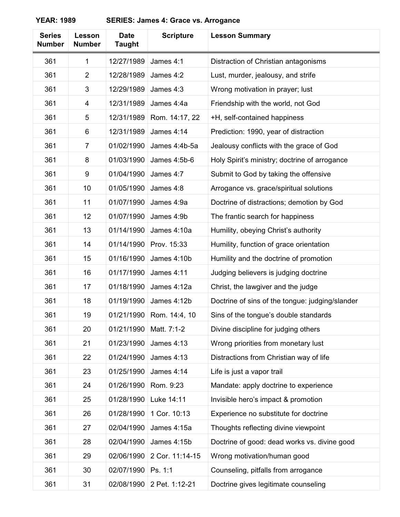**YEAR: 1989 SERIES: James 4: Grace vs. Arrogance** 

| <b>Series</b><br><b>Number</b> | Lesson<br><b>Number</b> | <b>Date</b><br><b>Taught</b> | <b>Scripture</b>  | <b>Lesson Summary</b>                           |
|--------------------------------|-------------------------|------------------------------|-------------------|-------------------------------------------------|
| 361                            | $\mathbf{1}$            | 12/27/1989                   | James 4:1         | Distraction of Christian antagonisms            |
| 361                            | $\overline{2}$          | 12/28/1989                   | James 4:2         | Lust, murder, jealousy, and strife              |
| 361                            | 3                       | 12/29/1989                   | James 4:3         | Wrong motivation in prayer; lust                |
| 361                            | 4                       | 12/31/1989                   | James 4:4a        | Friendship with the world, not God              |
| 361                            | 5                       | 12/31/1989                   | Rom. 14:17, 22    | +H, self-contained happiness                    |
| 361                            | 6                       | 12/31/1989                   | James 4:14        | Prediction: 1990, year of distraction           |
| 361                            | $\overline{7}$          | 01/02/1990                   | James 4:4b-5a     | Jealousy conflicts with the grace of God        |
| 361                            | 8                       | 01/03/1990                   | James 4:5b-6      | Holy Spirit's ministry; doctrine of arrogance   |
| 361                            | 9                       | 01/04/1990                   | James 4:7         | Submit to God by taking the offensive           |
| 361                            | 10                      | 01/05/1990                   | James 4:8         | Arrogance vs. grace/spiritual solutions         |
| 361                            | 11                      | 01/07/1990                   | James 4:9a        | Doctrine of distractions; demotion by God       |
| 361                            | 12                      | 01/07/1990                   | James 4:9b        | The frantic search for happiness                |
| 361                            | 13                      | 01/14/1990                   | James 4:10a       | Humility, obeying Christ's authority            |
| 361                            | 14                      | 01/14/1990                   | Prov. 15:33       | Humility, function of grace orientation         |
| 361                            | 15                      | 01/16/1990                   | James 4:10b       | Humility and the doctrine of promotion          |
| 361                            | 16                      | 01/17/1990                   | James 4:11        | Judging believers is judging doctrine           |
| 361                            | 17                      | 01/18/1990                   | James 4:12a       | Christ, the lawgiver and the judge              |
| 361                            | 18                      | 01/19/1990                   | James 4:12b       | Doctrine of sins of the tongue: judging/slander |
| 361                            | 19                      | 01/21/1990                   | Rom. 14:4, 10     | Sins of the tongue's double standards           |
| 361                            | 20                      | 01/21/1990                   | Matt. 7:1-2       | Divine discipline for judging others            |
| 361                            | 21                      | 01/23/1990                   | <b>James 4:13</b> | Wrong priorities from monetary lust             |
| 361                            | 22                      | 01/24/1990                   | <b>James 4:13</b> | Distractions from Christian way of life         |
| 361                            | 23                      | 01/25/1990                   | James 4:14        | Life is just a vapor trail                      |
| 361                            | 24                      | 01/26/1990                   | Rom. 9:23         | Mandate: apply doctrine to experience           |
| 361                            | 25                      | 01/28/1990                   | Luke 14:11        | Invisible hero's impact & promotion             |
| 361                            | 26                      | 01/28/1990                   | 1 Cor. 10:13      | Experience no substitute for doctrine           |
| 361                            | 27                      | 02/04/1990                   | James 4:15a       | Thoughts reflecting divine viewpoint            |
| 361                            | 28                      | 02/04/1990                   | James 4:15b       | Doctrine of good: dead works vs. divine good    |
| 361                            | 29                      | 02/06/1990                   | 2 Cor. 11:14-15   | Wrong motivation/human good                     |
| 361                            | 30                      | 02/07/1990                   | Ps. 1:1           | Counseling, pitfalls from arrogance             |
| 361                            | 31                      | 02/08/1990                   | 2 Pet. 1:12-21    | Doctrine gives legitimate counseling            |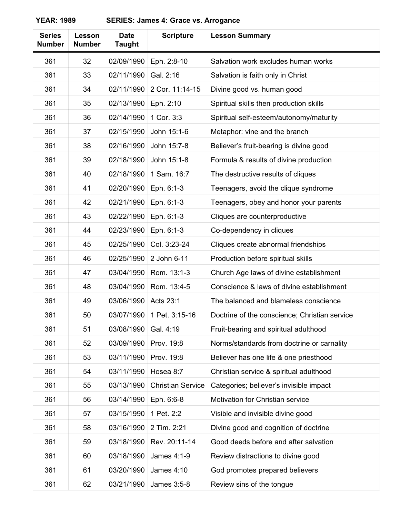**YEAR: 1989 SERIES: James 4: Grace vs. Arrogance** 

| <b>Series</b><br><b>Number</b> | Lesson<br><b>Number</b> | <b>Date</b><br><b>Taught</b> | <b>Scripture</b>         | <b>Lesson Summary</b>                         |
|--------------------------------|-------------------------|------------------------------|--------------------------|-----------------------------------------------|
| 361                            | 32                      | 02/09/1990                   | Eph. 2:8-10              | Salvation work excludes human works           |
| 361                            | 33                      | 02/11/1990                   | Gal. 2:16                | Salvation is faith only in Christ             |
| 361                            | 34                      | 02/11/1990                   | 2 Cor. 11:14-15          | Divine good vs. human good                    |
| 361                            | 35                      | 02/13/1990                   | Eph. 2:10                | Spiritual skills then production skills       |
| 361                            | 36                      | 02/14/1990                   | 1 Cor. 3:3               | Spiritual self-esteem/autonomy/maturity       |
| 361                            | 37                      | 02/15/1990                   | John 15:1-6              | Metaphor: vine and the branch                 |
| 361                            | 38                      | 02/16/1990                   | John 15:7-8              | Believer's fruit-bearing is divine good       |
| 361                            | 39                      | 02/18/1990                   | John 15:1-8              | Formula & results of divine production        |
| 361                            | 40                      | 02/18/1990                   | 1 Sam. 16:7              | The destructive results of cliques            |
| 361                            | 41                      | 02/20/1990                   | Eph. 6:1-3               | Teenagers, avoid the clique syndrome          |
| 361                            | 42                      | 02/21/1990                   | Eph. 6:1-3               | Teenagers, obey and honor your parents        |
| 361                            | 43                      | 02/22/1990                   | Eph. 6:1-3               | Cliques are counterproductive                 |
| 361                            | 44                      | 02/23/1990                   | Eph. 6:1-3               | Co-dependency in cliques                      |
| 361                            | 45                      | 02/25/1990                   | Col. 3:23-24             | Cliques create abnormal friendships           |
| 361                            | 46                      | 02/25/1990                   | 2 John 6-11              | Production before spiritual skills            |
| 361                            | 47                      | 03/04/1990                   | Rom. 13:1-3              | Church Age laws of divine establishment       |
| 361                            | 48                      | 03/04/1990                   | Rom. 13:4-5              | Conscience & laws of divine establishment     |
| 361                            | 49                      | 03/06/1990                   | Acts 23:1                | The balanced and blameless conscience         |
| 361                            | 50                      | 03/07/1990                   | 1 Pet. 3:15-16           | Doctrine of the conscience; Christian service |
| 361                            | 51                      | 03/08/1990                   | Gal. 4:19                | Fruit-bearing and spiritual adulthood         |
| 361                            | 52                      | 03/09/1990                   | Prov. 19:8               | Norms/standards from doctrine or carnality    |
| 361                            | 53                      | 03/11/1990                   | Prov. 19:8               | Believer has one life & one priesthood        |
| 361                            | 54                      | 03/11/1990                   | Hosea 8:7                | Christian service & spiritual adulthood       |
| 361                            | 55                      | 03/13/1990                   | <b>Christian Service</b> | Categories; believer's invisible impact       |
| 361                            | 56                      | 03/14/1990                   | Eph. 6:6-8               | Motivation for Christian service              |
| 361                            | 57                      | 03/15/1990                   | 1 Pet. 2:2               | Visible and invisible divine good             |
| 361                            | 58                      | 03/16/1990                   | 2 Tim. 2:21              | Divine good and cognition of doctrine         |
| 361                            | 59                      | 03/18/1990                   | Rev. 20:11-14            | Good deeds before and after salvation         |
| 361                            | 60                      | 03/18/1990                   | James 4:1-9              | Review distractions to divine good            |
| 361                            | 61                      | 03/20/1990                   | James 4:10               | God promotes prepared believers               |
| 361                            | 62                      | 03/21/1990                   | James 3:5-8              | Review sins of the tongue                     |